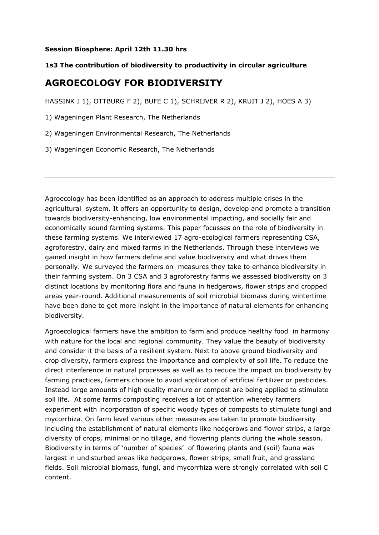## **Session Biosphere: April 12th 11.30 hrs**

## **1s3 The contribution of biodiversity to productivity in circular agriculture**

## **AGROECOLOGY FOR BIODIVERSITY**

HASSINK J 1), OTTBURG F 2), BUFE C 1), SCHRIJVER R 2), KRUIT J 2), HOES A 3)

- 1) Wageningen Plant Research, The Netherlands
- 2) Wageningen Environmental Research, The Netherlands
- 3) Wageningen Economic Research, The Netherlands

Agroecology has been identified as an approach to address multiple crises in the agricultural system. It offers an opportunity to design, develop and promote a transition towards biodiversity-enhancing, low environmental impacting, and socially fair and economically sound farming systems. This paper focusses on the role of biodiversity in these farming systems. We interviewed 17 agro-ecological farmers representing CSA, agroforestry, dairy and mixed farms in the Netherlands. Through these interviews we gained insight in how farmers define and value biodiversity and what drives them personally. We surveyed the farmers on measures they take to enhance biodiversity in their farming system. On 3 CSA and 3 agroforestry farms we assessed biodiversity on 3 distinct locations by monitoring flora and fauna in hedgerows, flower strips and cropped areas year-round. Additional measurements of soil microbial biomass during wintertime have been done to get more insight in the importance of natural elements for enhancing biodiversity.

Agroecological farmers have the ambition to farm and produce healthy food in harmony with nature for the local and regional community. They value the beauty of biodiversity and consider it the basis of a resilient system. Next to above ground biodiversity and crop diversity, farmers express the importance and complexity of soil life. To reduce the direct interference in natural processes as well as to reduce the impact on biodiversity by farming practices, farmers choose to avoid application of artificial fertilizer or pesticides. Instead large amounts of high quality manure or compost are being applied to stimulate soil life. At some farms composting receives a lot of attention whereby farmers experiment with incorporation of specific woody types of composts to stimulate fungi and mycorrhiza. On farm level various other measures are taken to promote biodiversity including the establishment of natural elements like hedgerows and flower strips, a large diversity of crops, minimal or no tillage, and flowering plants during the whole season. Biodiversity in terms of 'number of species' of flowering plants and (soil) fauna was largest in undisturbed areas like hedgerows, flower strips, small fruit, and grassland fields. Soil microbial biomass, fungi, and mycorrhiza were strongly correlated with soil C content.